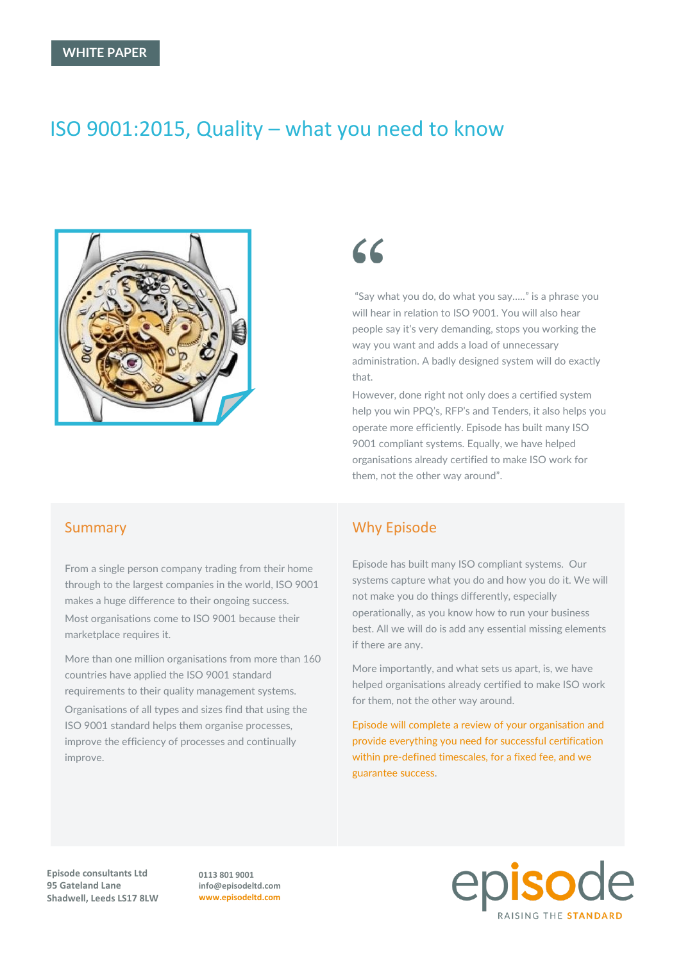# ISO 9001:2015, Quality – what you need to know



# $66$

"Say what you do, do what you say….." is a phrase you will hear in relation to ISO 9001. You will also hear people say it's very demanding, stops you working the way you want and adds a load of unnecessary administration. A badly designed system will do exactly that.

However, done right not only does a certified system help you win PPQ's, RFP's and Tenders, it also helps you operate more efficiently. Episode has built many ISO 9001 compliant systems. Equally, we have helped organisations already certified to make ISO work for them, not the other way around".

#### Summary

From a single person company trading from their home through to the largest companies in the world, ISO 9001 makes a huge difference to their ongoing success. Most organisations come to ISO 9001 because their marketplace requires it.

More than one million organisations from more than 160 countries have applied the ISO 9001 standard requirements to their quality management systems.

Organisations of all types and sizes find that using the ISO 9001 standard helps them organise processes, improve the efficiency of processes and continually improve.

# Why Episode

Episode has built many ISO compliant systems. Our systems capture what you do and how you do it. We will not make you do things differently, especially operationally, as you know how to run your business best. All we will do is add any essential missing elements if there are any.

More importantly, and what sets us apart, is, we have helped organisations already certified to make ISO work for them, not the other way around.

Episode will complete a review of your organisation and provide everything you need for successful certification within pre-defined timescales, for a fixed fee, and we guarantee success.

**Episode consultants Ltd 95 Gateland Lane Shadwell, Leeds LS17 8LW** **0113 801 9001 info@episodeltd.com www.episodeltd.com**